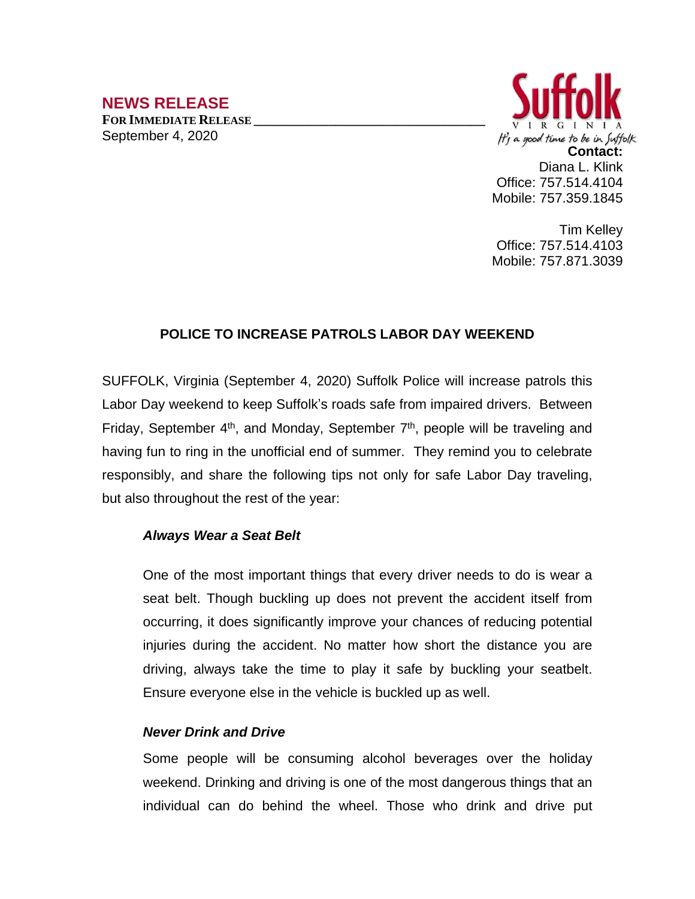# **NEWS RELEASE**

**FOR IMMEDIATE RELEASE \_\_\_\_\_\_\_\_\_\_\_\_\_\_\_\_\_\_\_\_\_\_\_\_\_\_\_\_\_\_\_\_\_\_** September 4, 2020



Tim Kelley Office: 757.514.4103 Mobile: 757.871.3039

## **POLICE TO INCREASE PATROLS LABOR DAY WEEKEND**

SUFFOLK, Virginia (September 4, 2020) Suffolk Police will increase patrols this Labor Day weekend to keep Suffolk's roads safe from impaired drivers. Between Friday, September  $4<sup>th</sup>$ , and Monday, September  $7<sup>th</sup>$ , people will be traveling and having fun to ring in the unofficial end of summer. They remind you to celebrate responsibly, and share the following tips not only for safe Labor Day traveling, but also throughout the rest of the year:

### *Always Wear a Seat Belt*

One of the most important things that every driver needs to do is wear a seat belt. Though buckling up does not prevent the [accident](http://springersteinberg.com/personal-injury/car-accidents/) itself from occurring, it does significantly improve your chances of reducing potential injuries during the accident. No matter how short the distance you are driving, always take the time to play it safe by buckling your seatbelt. Ensure everyone else in the vehicle is buckled up as well.

### *Never Drink and Drive*

Some people will be consuming alcohol beverages over the holiday weekend. Drinking and driving is one of the most dangerous things that an individual can do behind the wheel. Those who drink and drive put